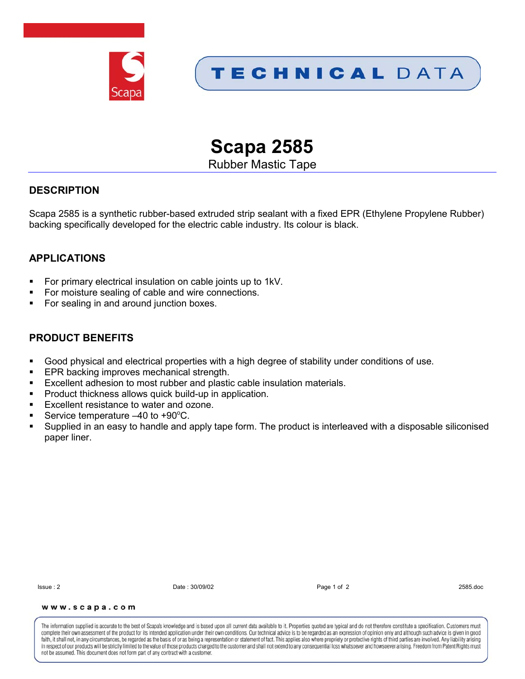



**Scapa 2585**

Rubber Mastic Tape

### **DESCRIPTION**

Scapa 2585 is a synthetic rubber-based extruded strip sealant with a fixed EPR (Ethylene Propylene Rubber) backing specifically developed for the electric cable industry. Its colour is black.

# **APPLICATIONS**

- For primary electrical insulation on cable joints up to 1kV.
- For moisture sealing of cable and wire connections.
- For sealing in and around junction boxes.

### **PRODUCT BENEFITS**

- Good physical and electrical properties with a high degree of stability under conditions of use.
- EPR backing improves mechanical strength.
- Excellent adhesion to most rubber and plastic cable insulation materials.
- Product thickness allows quick build-up in application.
- **Excellent resistance to water and ozone.**
- Service temperature  $-40$  to  $+90^{\circ}$ C.
- Supplied in an easy to handle and apply tape form. The product is interleaved with a disposable siliconised paper liner.

Issue : 2 Date : 30/09/02 Page 1 of 2 2585.doc

#### www.scapa.com

The information supplied is accurate to the best of Scapa's knowledge and is based upon all current data available to it. Properties quoted are typical and do not therefore constitute a specification. Customers must complete their own assessment of the product for its intended application under their own conditions. Our technical advice is to be regarded as an expression of opinion only and although such advice is given in good faith, it shall not, in any circumstances, be regarded as the basis of or as being a representation or statement of fact. This applies also where propriety or protective rights of third parties are involved. Any liability in respect of our products will be strictly limited to the value of those products charged to the customer and shall not extend to any consequential loss whatsoever and howsoever arising. Freedom from Patent Rights must not be assumed. This document does not form part of any contract with a customer.